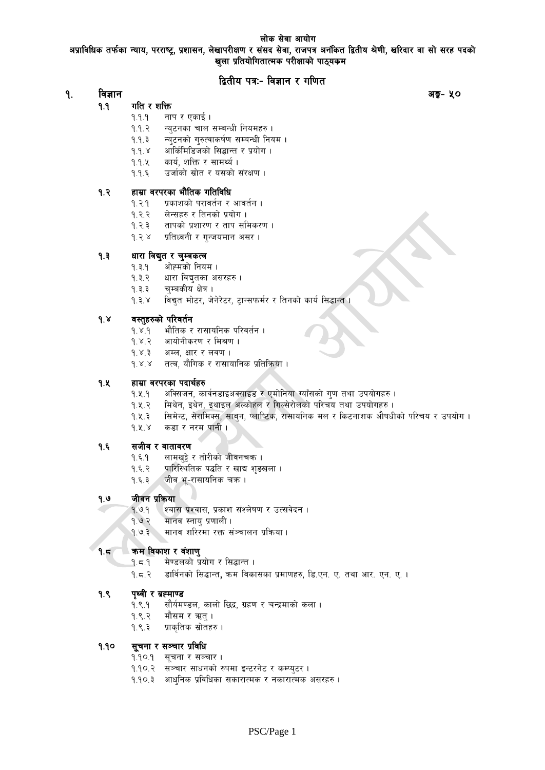### लोक सेवा आयोग

अप्राविधिक तर्फका न्याय, परराष्ट्र, प्रशासन, लेखापरीक्षण र संसद सेवा, राजपत्र अनंकित द्वितीय श्रेणी, खरिदार वा सो सरह पदको खुला प्रतियोगितात्मक परीक्षाको पाठ्यकम

# द्वितीय पत्रः- विज्ञान र गणित

#### $9.$ विज्ञान

अङ्ग- ५०

- $9.9$ गति र शक्ति
	- $9.9.9$ नाप र एकाई।
	- न्युटनका चाल सम्बन्धी नियमहरु ।  $9.9.3$
	- न्युटनको गुरुत्वाकर्षण सम्बन्धी नियम ।  $9.9.3$
	- $9.9.8$ आर्किमिडिजको सिद्धान्त र प्रयोग ।
	- $9.9.4$ कार्य, शक्ति र सामर्थ्य ।
	- $9.9.5$ उर्जाको स्रोत र यसको संरक्षण ।

#### हाम्रा वरपरका भौतिक गतिविधि  $9.3$

- $9.3.9$ प्रकाशको परावर्तन र आवर्तन ।
- $9.3.3$ लेन्सहरु र तिनको प्रयोग ।
- $9.3.3$ तापको प्रशारण र ताप समिकरण ।
- $9.38$ प्रतिध्वनी र ग्न्जयमान असर।

#### $9.3$ धारा विद्युत र चुम्बकत्व

- $9.3.9$ ओह्मको नियम ।
- $9.3.2$ धारा विद्युतका असरहरु ।
- $9.3.3$ चुम्बकीय क्षेत्र ।
- विद्युत मोटर, जेनेरेटर, ट्रान्सफर्मर र तिनको कार्य सिद्धान्त ।  $9.3.8$

#### $9.8$ वस्तुहरुको परिवर्तन

- $9.8.9$ भौतिक र रासायनिक परिवर्तन ।
- आयोनीकरण र मिश्रण ।  $9.8.9$
- अम्ल, क्षार र लवण ।  $9.8.3$
- $9.8.8$ तत्व, यौगिक र रासायानिक प्रतिक्रिया ।

#### 9.k हाम्रा वरपरका पदार्थहरु

- $9.4.9$ अक्सिजन, कार्वनडाइअक्साइड र एमोनिया ग्याँसको गुण तथा उपयोगहरु ।
- मिथेन, इथेन, इथाइल अल्कोहल र गिल्सेरोलको परिचय तथा उपयोगहरु ।  $9.4.7$
- $9.4.3$ सिमेन्ट, सैरामिक्स, साब्न, प्लाप्टिक, रासायनिक मल र किटनाशक औषधीको परिचय र उपयोग ।
- $9.8.8$ कडा र नरम पानी ।

#### सजीव र वातावरण  $9.5$

- $9.5.9$ लामखुट्टे र तोरीको जीवनचक्र ।
- $9.5.7$ पारिस्थितिक पद्धति र खाद्य शुङखला ।
- $9.5.3$ जीव भू-रासायनिक चक्र ।

#### $9.9$ जीवन प्रकिया

- श्वास प्रश्वास, प्रकाश संश्लेषण र उत्सवेदन ।  $9.99$
- $9.9.2$ मानव स्नायु प्रणाली।
- मानव शरिरमा रक्त संञ्चालन प्रक्रिया।  $9.97$

#### कम विकाश र वंशाणु  $9.5$

- मेण्डलको प्रयोग र सिद्धान्त ।  $9.5.9$
- $9.5.8$ डार्विनको सिद्धान्त, क्रम विकासका प्रमाणहरु, डि.एन. ए. तथा आर. एन. ए. ।

#### $9.8$ पृथ्वी र ब्रह्माण्ड

- $9.8.9$ सौर्यमण्डल, कालो छिद्र, ग्रहण र चन्द्रमाको कला ।
- $9.8.8$ मौसम र ऋत् ।
- $9.8.3$ प्राकृतिक स्रोतहरु ।

#### सूचना र सञ्चार प्रविधि  $9.90$

- १.१०.१ सूचना र सञ्चार ।
- १.१०.२ सञ्चार साधनको रुपमा इन्टरनेट र कम्प्युटर ।
- <u> १.१०.३ आधुनिक प्रविधिका सकारात्मक र नकारात्मक असरहरु ।</u>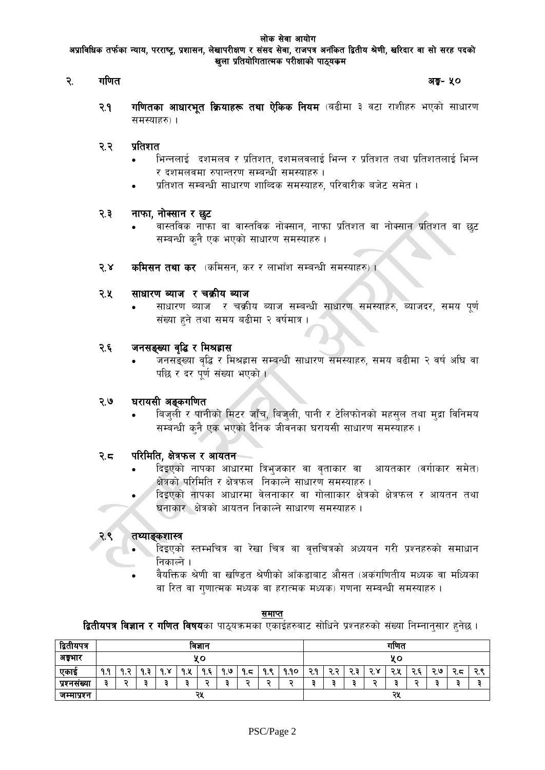#### गणित  $\mathcal{R}$ .

अङ्ग- ५०

 $9.9$ **गणितका आधारभूत क्रियाहरू तथा ऐकिक नियम** (बढीमा ३ वटा राशीहरु भएको साधारण समस्याहरु) ।

#### प्रतिशत २.२

- भिन्नलाई दशमलव र प्रतिशत, दशमलवलाई भिन्न र प्रतिशत तथा प्रतिशतलाई भिन्न र दशमलवमा रुपान्तरण सम्बन्धी समस्याहरु ।
- प्रतिशत सम्बन्धी साधारण शाब्दिक समस्याहरु, परिवारीक बजेट समेत ।

#### नाफा, नोक्सान र छूट २.३

- वास्तविक नाफा वा वास्तविक नोक्सान, नाफा प्रतिशत वा नोक्सान प्रतिशत वा छट सम्बन्धी कुनै एक भएको साधारण समस्याहरु।
- $5.8$ **कमिसन तथा कर** (कमिसन, कर र लाभाँश सम्बन्धी समस्याहरु) ।

#### २.५ साधारण ब्याज र चक्रीय ब्याज

साधारण ब्याज र चक्रीय ब्याज सम्बन्धी साधारण समस्याहरु, ब्याजदर, समय पूर्ण संख्या हुने तथा समय बढीमा २ वर्षमात्र ।

#### जनसङ्ख्या वृद्धि र मिश्रहास २.६

जनसङ्ख्या वृद्धि र मिश्रह्लास सम्बन्धी साधारण समस्याहरु, समय बढीमा २ वर्ष अघि वा पछि र दर पूर्ण संख्या भएको ।

#### २.७ घरायसी अङ्कगणित

बिजुली र पानीको मिटर जाँच, बिजुली, पानी र टेलिफोनको महसुल तथा मुद्रा विनिमय सम्बन्धी कनै एक भएको दैनिक जीवनका घरायसी साधारण समस्याहरु।

#### परिमिति, क्षेत्रफल र आयतन २.८

- दिइएको नापका आधारमा त्रिभुजकार वा वताकार वा आयतकार (वर्गाकार समेत) क्षेत्रको परिमिति र क्षेत्रफल निकाल्ने साधारण समस्याहरु ।
- दिइएको नापका आधारमा वेलनाकार वा गोलााकार क्षेत्रको क्षेत्रफल र आयतन तथा घनाकार क्षेत्रको आयतन निकाल्ने साधारण समस्याहरु ।

#### तथ्याङकशास्त्र २.९

- दिइएको स्तम्भचित्र वा रेखा चित्र वा वत्तचित्रको अध्ययन गरी प्रश्नहरुको समाधान निकाल्ने ।
- वैयक्तिक श्रेणी वा खण्डित श्रेणीको आँकडाबाट औसत (अकंगणितीय मध्यक वा मध्यिका वा रित वा गुणात्मक मध्यक वा हरात्मक मध्यक) गणना सम्बन्धी समस्याहरु ।

#### समाप्त

**द्वितीयपत्र विज्ञान र गणित विषय**का पाठ्यक्रमका एकाईहरुबाट सोधिने प्रश्नहरुको संख्या निम्नानुसार हुनेछ ।

| द्वितीयपत्र | ावज्ञान   |            |          |                                |         |     | गाणत    |          |                   |           |     |                           |      |        |         |                |           |          |         |
|-------------|-----------|------------|----------|--------------------------------|---------|-----|---------|----------|-------------------|-----------|-----|---------------------------|------|--------|---------|----------------|-----------|----------|---------|
| अङ्गार      | ¥о        |            |          |                                |         | ५०  |         |          |                   |           |     |                           |      |        |         |                |           |          |         |
| एकाइ        | ۹q<br>ե է | ດ ລ<br>. . | Ξ<br>. . | $\checkmark$<br>$\Omega$<br>-6 | a u<br> | ۹.६ | وا<br>۰ | q<br>(.ব | ಂ<br><b>Q</b><br> | १.१०      | २.१ | $\blacksquare$<br>∍<br>۰. | ∢. व | כ<br>∼ | つり<br>w | c<br>∍<br>۱. ٦ | ২ ७<br>₩. | כ<br>८.८ | ∽<br>v. |
| प्रश्नसख्या |           |            |          |                                |         | ٠   |         |          | -                 | $\bullet$ |     |                           |      |        |         | -              |           |          |         |
| जम्माप्रश्न | २५        |            |          |                                | २५      |     |         |          |                   |           |     |                           |      |        |         |                |           |          |         |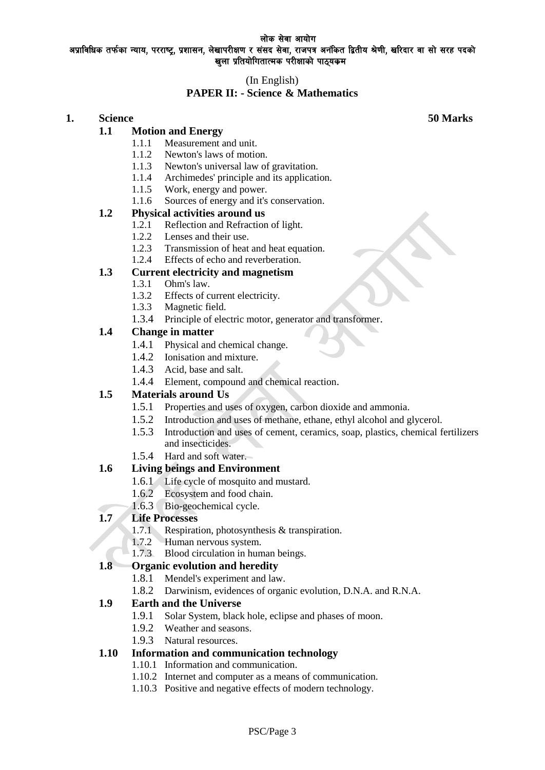#### लोक सेवा आयोग अप्राविधिक तर्फका न्याय, परराष्ट्र, प्रशासन, लेखापरीक्षण र संसद सेवा, राजपत्र अनंकित द्वितीय श्रेणी, खरिदार वा सो सरह पदको खुला प्रतियोगितात्मक परीक्षाको पाठ्यकम

# (In English)

# **PAPER II: - Science & Mathematics**

# **1. Science 50 Marks**

# **1.1 Motion and Energy**

- 1.1.1 Measurement and unit.
- 1.1.2 Newton's laws of motion.
- 1.1.3 Newton's universal law of gravitation.
- 1.1.4 Archimedes' principle and its application.
- 1.1.5 Work, energy and power.
- 1.1.6 Sources of energy and it's conservation.

### **1.2 Physical activities around us**

- 1.2.1 Reflection and Refraction of light.
- 1.2.2 Lenses and their use.
- 1.2.3 Transmission of heat and heat equation.
- 1.2.4 Effects of echo and reverberation.

### **1.3 Current electricity and magnetism**

- 1.3.1 Ohm's law.
- 1.3.2 Effects of current electricity.
- 1.3.3 Magnetic field.
- 1.3.4 Principle of electric motor, generator and transformer.

### **1.4 Change in matter**

- 1.4.1 Physical and chemical change.
- 1.4.2 Ionisation and mixture.
- 1.4.3 Acid, base and salt.
- 1.4.4 Element, compound and chemical reaction.

# **1.5 Materials around Us**

- 1.5.1 Properties and uses of oxygen, carbon dioxide and ammonia.
- 1.5.2 Introduction and uses of methane, ethane, ethyl alcohol and glycerol.
- 1.5.3 Introduction and uses of cement, ceramics, soap, plastics, chemical fertilizers and insecticides.
- 1.5.4 Hard and soft water.

### **1.6 Living beings and Environment**

- 1.6.1 Life cycle of mosquito and mustard.
- 1.6.2 Ecosystem and food chain.
- 1.6.3 Bio-geochemical cycle.

### **1.7 Life Processes**

- 1.7.1 Respiration, photosynthesis & transpiration.
- 1.7.2 Human nervous system.
- 1.7.3 Blood circulation in human beings.

### **1.8 Organic evolution and heredity**

- 1.8.1 Mendel's experiment and law.
- 1.8.2 Darwinism, evidences of organic evolution, D.N.A. and R.N.A.

### **1.9 Earth and the Universe**

- 1.9.1 Solar System, black hole, eclipse and phases of moon.
- 1.9.2 Weather and seasons.
- 1.9.3 Natural resources.

### **1.10 Information and communication technology**

- 1.10.1 Information and communication.
- 1.10.2 Internet and computer as a means of communication.
- 1.10.3 Positive and negative effects of modern technology.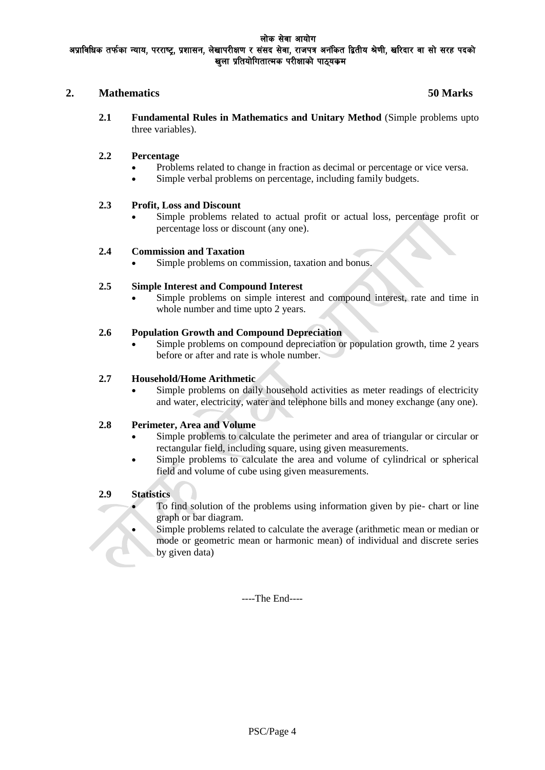### **2. Mathematics 50 Marks**

**2.1 Fundamental Rules in Mathematics and Unitary Method** (Simple problems upto three variables).

### **2.2 Percentage**

- Problems related to change in fraction as decimal or percentage or vice versa.
- Simple verbal problems on percentage, including family budgets.

### **2.3 Profit, Loss and Discount**

 Simple problems related to actual profit or actual loss, percentage profit or percentage loss or discount (any one).

### **2.4 Commission and Taxation**

Simple problems on commission, taxation and bonus.

### **2.5 Simple Interest and Compound Interest**

 Simple problems on simple interest and compound interest, rate and time in whole number and time upto 2 years.

### **2.6 Population Growth and Compound Depreciation**

 Simple problems on compound depreciation or population growth, time 2 years before or after and rate is whole number.

### **2.7 Household/Home Arithmetic**

 Simple problems on daily household activities as meter readings of electricity and water, electricity, water and telephone bills and money exchange (any one).

### **2.8 Perimeter, Area and Volume**

- Simple problems to calculate the perimeter and area of triangular or circular or rectangular field, including square, using given measurements.
- Simple problems to calculate the area and volume of cylindrical or spherical field and volume of cube using given measurements.

### **2.9 Statistics**

- To find solution of the problems using information given by pie- chart or line graph or bar diagram.
- Simple problems related to calculate the average (arithmetic mean or median or mode or geometric mean or harmonic mean) of individual and discrete series by given data)

----The End----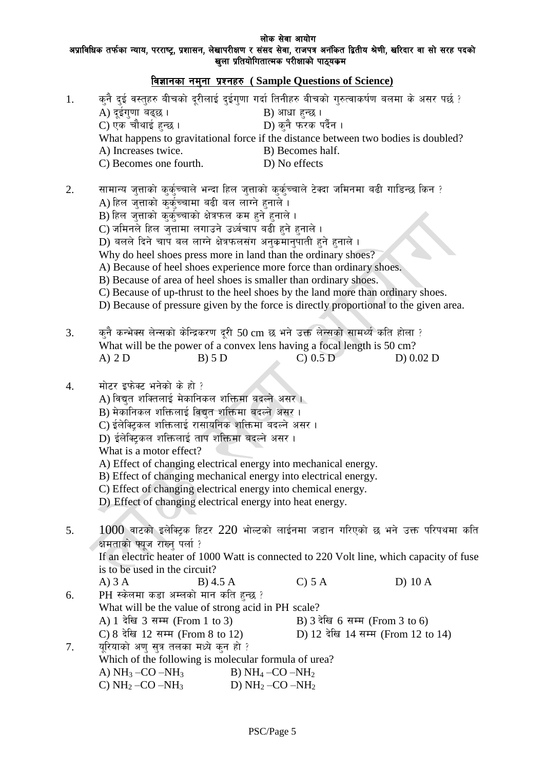लोक सेवा आयोग

# अप्राविधिक तर्फका न्याय, परराष्ट्र, प्रशासन, लेखापरीक्षण र संसद सेवा, राजपत्र अनंकित द्वितीय श्रेणी, खरिदार वा सो सरह पदको खुला प्रतियोगितात्मक परीक्षाको पाठ्**यकम**

| विज्ञानका नमुना प्रश्नहरु (Sample Questions of Science) |                                                                                                                                                                                                                                                                                                                                                                                                                                                                                                                                                                                                                                                                                                                                              |                                                                  |                                                                      |           |  |  |
|---------------------------------------------------------|----------------------------------------------------------------------------------------------------------------------------------------------------------------------------------------------------------------------------------------------------------------------------------------------------------------------------------------------------------------------------------------------------------------------------------------------------------------------------------------------------------------------------------------------------------------------------------------------------------------------------------------------------------------------------------------------------------------------------------------------|------------------------------------------------------------------|----------------------------------------------------------------------|-----------|--|--|
| 1.                                                      | कुनै दुई वस्तुहरु बीचको दूरीलाई दुईगुणा गर्दा तिनीहरु बीचको गुरुत्वाकर्षण बलमा के असर पर्छ ?<br>A) दूईगुणा बढ्छ।<br>C) एक चौथाई हुन्छ ।<br>What happens to gravitational force if the distance between two bodies is doubled?<br>A) Increases twice.<br>C) Becomes one fourth.                                                                                                                                                                                                                                                                                                                                                                                                                                                               | B) आधा हुन्छ ।<br>D) No effects                                  | D) कुनै फरक पर्दैन ।<br>B) Becomes half.                             |           |  |  |
| 2.                                                      | सामान्य जुत्ताको कुर्कुच्चाले भन्दा हिल जुत्ताको कुर्कुच्चाले टेक्दा जमिनमा बढी गाडिन्छ किन ?<br>A) हिल जुत्ताको कुर्क्च्चामा बढी बल लाग्ने हुनाले ।<br>B) हिल जुत्ताको कुर्कुच्चाको क्षेत्रफल कम हुने हुनाले ।<br>C) जमिनले हिल जुत्तामा लगाउने उर्ध्वचाप बढी हुने हुनाले ।<br>D) बलले दिने चाप बल लाग्ने क्षेत्रफलसंग अनुक्रमानुपाती हुने हुनाले ।<br>Why do heel shoes press more in land than the ordinary shoes?<br>A) Because of heel shoes experience more force than ordinary shoes.<br>B) Because of area of heel shoes is smaller than ordinary shoes.<br>C) Because of up-thrust to the heel shoes by the land more than ordinary shoes.<br>D) Because of pressure given by the force is directly proportional to the given area. |                                                                  |                                                                      |           |  |  |
| 3.                                                      | कुनै कन्भेक्स लेन्सको केन्द्रिकरण दूरी 50 cm छ भने उक्त लेन्सको सामर्थ्य कति होला ?<br>What will be the power of a convex lens having a focal length is 50 cm?<br>$A)$ 2 D<br>B) 5 D                                                                                                                                                                                                                                                                                                                                                                                                                                                                                                                                                         |                                                                  | $C)$ 0.5 D                                                           | D) 0.02 D |  |  |
| 4.                                                      | मोटर इफेक्ट भनेको के हो ?<br>A) विद्युत शक्तिलाई मेकानिकल शक्तिमा बदल्ने असर ।<br>B) मेकानिकल शक्तिलाई विद्युत शक्तिमा बदल्ने असर।<br>C) ईलेक्ट्रिकल शक्तिलाई रासायनिक शक्तिमा बदल्ने असर।<br>D) ईलेक्ट्रिकल शक्तिलाई ताप शक्तिमा बदल्ने असर।<br>What is a motor effect?<br>A) Effect of changing electrical energy into mechanical energy.<br>B) Effect of changing mechanical energy into electrical energy.<br>C) Effect of changing electrical energy into chemical energy.<br>D) Effect of changing electrical energy into heat energy.                                                                                                                                                                                                 |                                                                  |                                                                      |           |  |  |
| 5.                                                      | $1000$ वाटको इलेक्ट्रिक हिटर $220$ भोल्टको लाईनमा जडान गरिएको छ भने उक्त परिपथमा कति<br>क्षमताको फ्यूज राख्नु पर्ला ?<br>If an electric heater of 1000 Watt is connected to 220 Volt line, which capacity of fuse<br>is to be used in the circuit?                                                                                                                                                                                                                                                                                                                                                                                                                                                                                           |                                                                  |                                                                      |           |  |  |
|                                                         | $A)$ 3 $A$<br>B) 4.5 A                                                                                                                                                                                                                                                                                                                                                                                                                                                                                                                                                                                                                                                                                                                       |                                                                  | C) 5 A                                                               | $D)$ 10 A |  |  |
| 6.                                                      | PH स्केलमा कडा अम्लको मान कति हुन्छ ?<br>What will be the value of strong acid in PH scale?<br>A) 1 देखि 3 सम्म (From 1 to 3)<br>C) 8 देखि 12 सम्म (From 8 to 12)                                                                                                                                                                                                                                                                                                                                                                                                                                                                                                                                                                            |                                                                  | B) 3 देखि 6 सम्म (From 3 to 6)<br>D) 12 देखि 14 सम्म (From 12 to 14) |           |  |  |
| 7.                                                      | यूरियाको अणु सुत्र तलका मध्ये कुन हो ?<br>Which of the following is molecular formula of urea?<br>A) $NH_3$ –CO –NH <sub>3</sub><br>C) $NH_2$ –CO –NH <sub>3</sub>                                                                                                                                                                                                                                                                                                                                                                                                                                                                                                                                                                           | B) $NH_4$ –CO –NH <sub>2</sub><br>D) $NH_2$ -CO -NH <sub>2</sub> |                                                                      |           |  |  |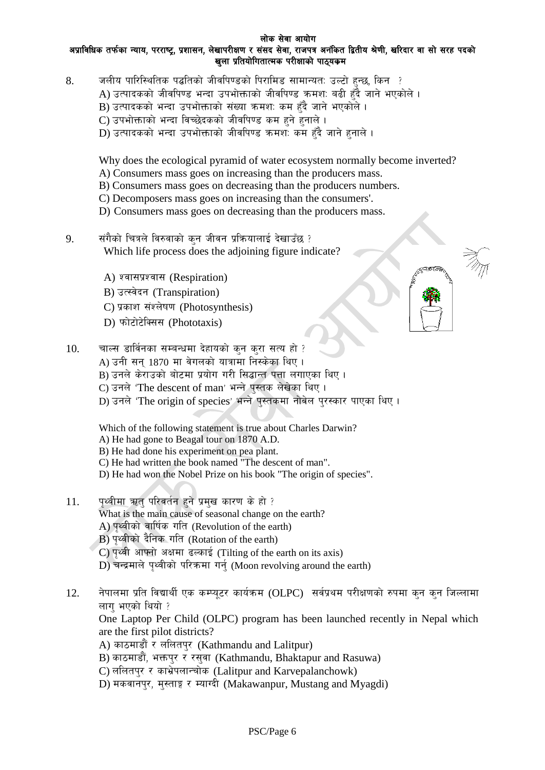#### लोक सेवा आयोग अप्राविधिक तर्फका न्याय, परराष्ट्र, प्रशासन, लेखापरीक्षण र संसद सेवा, राजपत्र अनंकित द्वितीय श्रेणी, खरिदार वा सो सरह पदको खला प्रतियोगितात्मक परीक्षाको पाठ्यकम

- 8. जलीय पारिस्थितिक पद्धतिको जीवपिण्डको पिरामिड सामान्यत: उल्टो हुन्छ, किन ?
	- $\bm A$ ) उत्पादकको जीवपिण्ड भन्दा उपभोक्ताको जीवपिण्ड कमश: बढी हँदै जाने भएकोले ।
	- $\overline{\text{B}}$ ) उत्पादकको भन्दा उपभोक्ताको संख्या ऋमश: कम हँदै जाने भएकोले ।
	- C) उपभोक्ताको भन्दा विच्छेदकको जीवपिण्ड कम हुने हुनाले ।
	- D) उत्पादकको भन्दा उपभोक्ताको जीवपिण्ड कमश: कम हँदै जाने हनाले ।

Why does the ecological pyramid of water ecosystem normally become inverted?

- A) Consumers mass goes on increasing than the producers mass.
- B) Consumers mass goes on decreasing than the producers numbers.
- C) Decomposers mass goes on increasing than the consumers'.
- D) Consumers mass goes on decreasing than the producers mass.
- $9.$   $\qquad$  संगैको चित्रले विरुवाको कन जीवन प्रक्रियालाई देखाउँछ ? Which life process does the adjoining figure indicate?
	- A) श्वासप्रश्वास (Respiration)
	- B) उत्स्वेदन (Transpiration)
	- C) प्रकाश संश्लेषण (Photosynthesis)
	- D) फोटोटेक्सिस (Phototaxis)
- $10.$  and strate in the band between the part of  $i$ A) उनी सन्  $1870$  मा वेगलको यात्रामा निस्केका थिए । B) उनले केराउको बोटमा प्रयोग गरी सिद्धान्त पत्ता लगाएका थिए । C) उनले 'The descent of man' भन्ने पस्तक लेखेका थिए।
	- D) उनले 'The origin of species' भन्ने पस्तकमा नोबेल परस्कार पाएका थिए।

Which of the following statement is true about Charles Darwin?

- A) He had gone to Beagal tour on 1870 A.D.
- B) He had done his experiment on pea plant.
- C) He had written the book named "The descent of man".
- D) He had won the Nobel Prize on his book "The origin of species".
- 11. पृथ्वीमा ऋतु परिवर्तन हुने प्रमुख कारण के हो ? What is the main cause of seasonal change on the earth? A) पृथ्वीको वार्षिक गति (Revolution of the earth) B) पथ्वीको दैनिक गति (Rotation of the earth)
	- $C$ ) पृथ्वी आफ्नो अक्षमा ढल्काई (Tilting of the earth on its axis)

 $D$ ) चन्द्रमाले पथ्वीको परिक्रमा गर्न (Moon revolving around the earth)

12.  $\frac{1}{2}$  नेपालमा प्रति विद्यार्थी एक कम्प्युटर कार्यक्रम (OLPC) सर्वप्रथम परीक्षणको रुपमा कुन कुन जिल्लामा लाग भएको थियो ? One Laptop Per Child (OLPC) program has been launched recently in Nepal which are the first pilot districts? A) काठमाडौं र ललितपुर (Kathmandu and Lalitpur) B) काठमाडौं, भक्तपुर र रसुवा (Kathmandu, Bhaktapur and Rasuwa) C) ललितपुर र काभ्रेपलान्चोक (Lalitpur and Karvepalanchowk) D) मकवानपुर, मुस्ताङ्ग र म्याग्दी (Makawanpur, Mustang and Myagdi)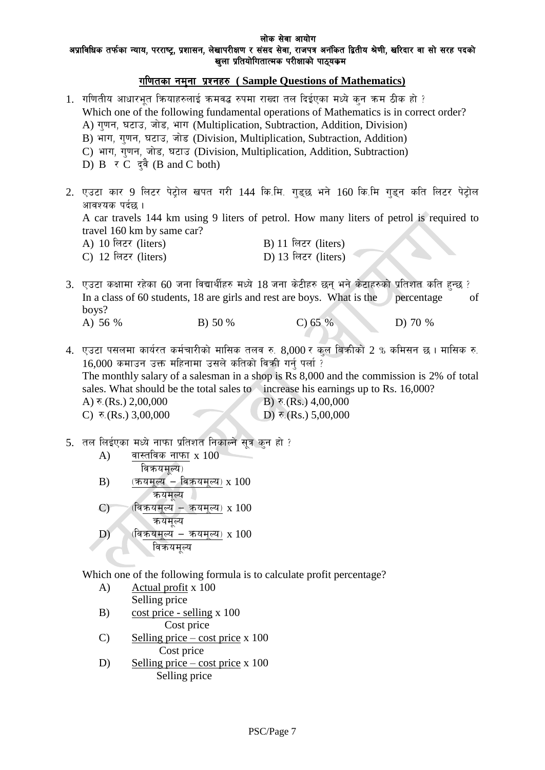#### लोक सेवा आयोग अप्राविधिक तर्फका न्याय, परराष्ट्र, प्रशासन, लेखापरीक्षण र संसद सेवा, राजपत्र अनंकित द्वितीय श्रेणी, खरिदार वा सो सरह पदको खला प्रतियोगितात्मक परीक्षाको पाठ्यकम

# ul0ftsf gd'gf k|Zgx? **( Sample Questions of Mathematics)**

 $1$ . गणितीय आधारभत कियाहरुलाई कमवद्ध रुपमा राख्दा तल दिईएका मध्ये कन कम ठीक हो ? Which one of the following fundamental operations of Mathematics is in correct order? A) गुणन, घटाउ, जोड, भाग (Multiplication, Subtraction, Addition, Division) B) भाग, गणन, घटाउ, जोड (Division, Multiplication, Subtraction, Addition) C) भाग, गुणन, जोड, घटाउ (Division, Multiplication, Addition, Subtraction) D)  $B \neq C$   $\vec{q}$   $\vec{q}$  (B and C both) 2. एउटा कार 9 लिटर पेट्रोल खपत गरी 144 कि.मि. गडुछ भने 160 कि.मि गडुन कति लिटर पेट्रोल आवश्यक पर्दछ । A car travels 144 km using 9 liters of petrol. How many liters of petrol is required to travel 160 km by same car? A) 10 लिटर (liters) B) 11 लिटर (liters) C)  $12 \text{ } \text{f}$ लटर (liters) D)  $13 \text{ } \text{f}$ लटर (liters) 3. एउटा कक्षामा रहेका 60 जना विद्यार्थीहरु मध्ये 18 जना केटीहरु छन् भने केटाहरुको प्रतिशत कति हुन्छ ? In a class of 60 students, 18 are girls and rest are boys. What is the percentage of boys? A) 56 % B) 50 % C) 65 % D) 70 %

4. एउटा पसलमा कार्यरत कर्मचारीको मासिक तलव रु.  $8,000$  र कल बिकीको 2 % कमिसन छ। मासिक रु.  $16,000$  कमाउन उक्त महिनामा उसले कतिको विकी गर्न पर्ला ? The monthly salary of a salesman in a shop is Rs 8,000 and the commission is 2% of total sales. What should be the total sales to increase his earnings up to Rs. 16,000? A)  $\bar{\tau}$ .(Rs.) 2,00,000 B)  $\bar{\tau}$ .(Rs.) 4,00,000 C)  $\bar{\tau}$ . (Rs.) 3,00,000 D)  $\bar{\tau}$ . (Rs.) 5,00,000

5. तल लिईएका मध्ये नाफा प्रतिशत निकाल्ने सुत्र कुन हो ?

| A)           | वास्तविक नाफा x $100\,$           |
|--------------|-----------------------------------|
|              | विकयमूल्य)                        |
| B)           | <u>यमूल्य ― विकयमूल्य)</u> x 100  |
|              |                                   |
| $\mathbf{C}$ | $-$ कयमुल्य) x 100<br>(।वक्रयमल्य |
|              | कयमुल्य                           |
| D)           | <u>मूल्य – क</u> यमूल्य) x 100    |
|              |                                   |
|              |                                   |

Which one of the following formula is to calculate profit percentage?

- A) Actual profit x 100 Selling price
- B) cost price selling x 100 Cost price
- C) Selling price cost price x  $100$ Cost price
- D) Selling price cost price x 100 Selling price